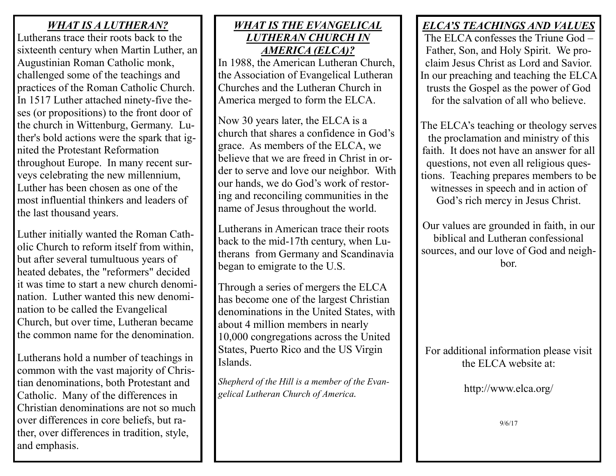#### *WHAT IS A LUTHERAN?*

Lutherans trace their roots back to the sixteenth century when Martin Luther, an Augustinian Roman Catholic monk, challenged some of the teachings and practices of the Roman Catholic Church. In 1517 Luther attached ninety-five theses (or propositions) to the front door of the church in Wittenburg, Germany. Luther's bold actions were the spark that ignited the Protestant Reformation throughout Europe. In many recent surveys celebrating the new millennium, Luther has been chosen as one of the most influential thinkers and leaders of the last thousand years.

Luther initially wanted the Roman Catholic Church to reform itself from within, but after several tumultuous years of heated debates, the "reformers" decided it was time to start a new church denomination. Luther wanted this new denomination to be called the Evangelical Church, but over time, Lutheran became the common name for the denomination.

Lutherans hold a number of teachings in common with the vast majority of Christian denominations, both Protestant and Catholic. Many of the differences in Christian denominations are not so much over differences in core beliefs, but rather, over differences in tradition, style, and emphasis.

#### *WHAT IS THE EVANGELICAL LUTHERAN CHURCH IN AMERICA (ELCA)?*

In 1988, the American Lutheran Church, the Association of Evangelical Lutheran Churches and the Lutheran Church in America merged to form the ELCA.

Now 30 years later, the ELCA is a church that shares a confidence in God's grace. As members of the ELCA, we believe that we are freed in Christ in order to serve and love our neighbor. With our hands, we do God's work of restoring and reconciling communities in the name of Jesus throughout the world.

Lutherans in American trace their roots back to the mid-17th century, when Lutherans from Germany and Scandinavia began to emigrate to the U.S.

Through a series of mergers the ELCA has become one of the largest Christian denominations in the United States, with about 4 million members in nearly 10,000 congregations across the United States, Puerto Rico and the US Virgin Islands.

*Shepherd of the Hill is a member of the Evangelical Lutheran Church of America.*

## *ELCA'S TEACHINGS AND VALUES*

The ELCA confesses the Triune God – Father, Son, and Holy Spirit. We proclaim Jesus Christ as Lord and Savior. In our preaching and teaching the ELCA trusts the Gospel as the power of God for the salvation of all who believe.

The ELCA's teaching or theology serves the proclamation and ministry of this faith. It does not have an answer for all questions, not even all religious questions. Teaching prepares members to be witnesses in speech and in action of God's rich mercy in Jesus Christ.

Our values are grounded in faith, in our biblical and Lutheran confessional sources, and our love of God and neighbor.

For additional information please visit the ELCA website at:

http://www.elca.org/

9/6/17